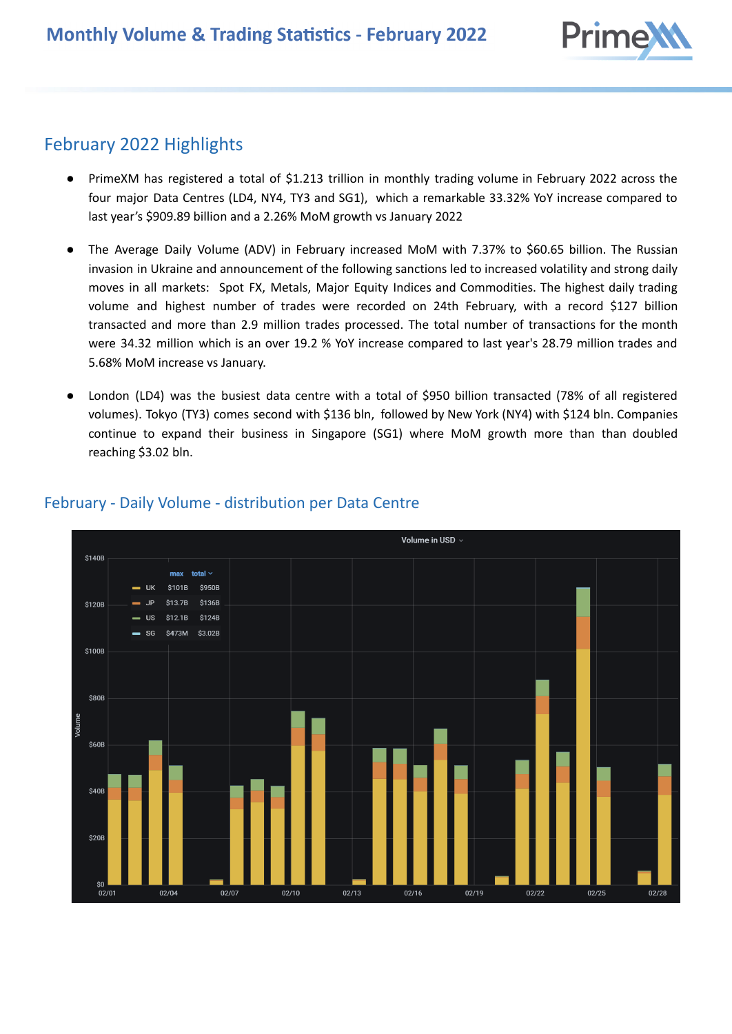

# February 2022 Highlights

- PrimeXM has registered a total of \$1.213 trillion in monthly trading volume in February 2022 across the four major Data Centres (LD4, NY4, TY3 and SG1), which a remarkable 33.32% YoY increase compared to last year's \$909.89 billion and a 2.26% MoM growth vs January 2022
- The Average Daily Volume (ADV) in February increased MoM with 7.37% to \$60.65 billion. The Russian invasion in Ukraine and announcement of the following sanctions led to increased volatility and strong daily moves in all markets: Spot FX, Metals, Major Equity Indices and Commodities. The highest daily trading volume and highest number of trades were recorded on 24th February, with a record \$127 billion transacted and more than 2.9 million trades processed. The total number of transactions for the month were 34.32 million which is an over 19.2 % YoY increase compared to last year's 28.79 million trades and 5.68% MoM increase vs January.
- London (LD4) was the busiest data centre with a total of \$950 billion transacted (78% of all registered volumes). Tokyo (TY3) comes second with \$136 bln, followed by New York (NY4) with \$124 bln. Companies continue to expand their business in Singapore (SG1) where MoM growth more than than doubled reaching \$3.02 bln.



## February - Daily Volume - distribution per Data Centre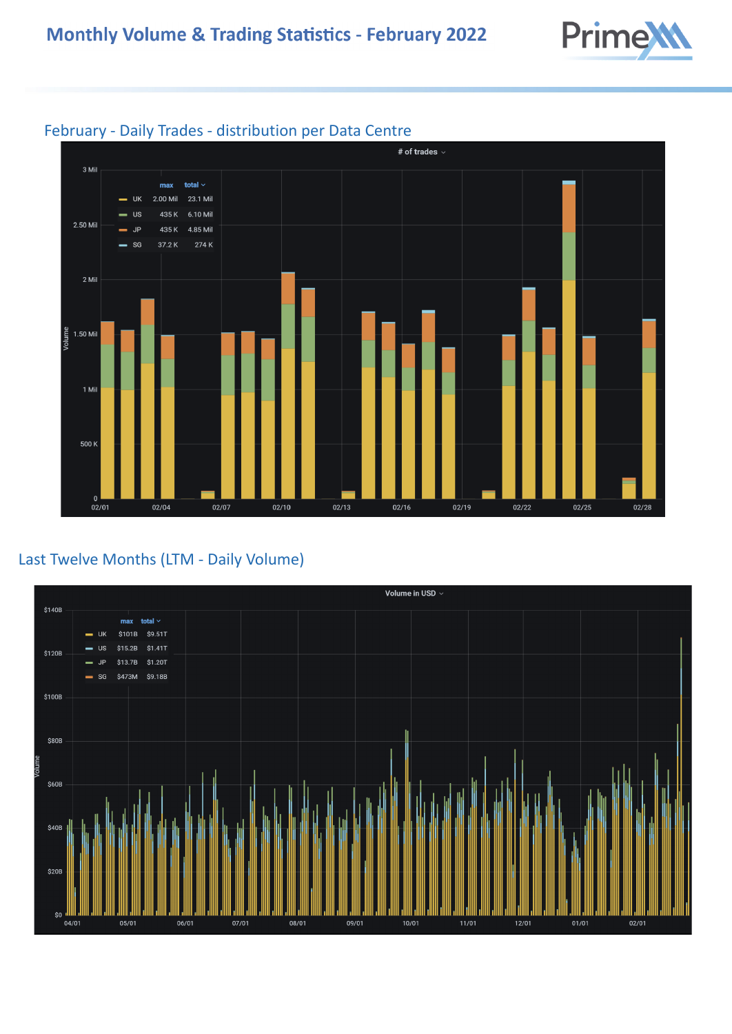



#### February - Daily Trades - distribution per Data Centre

#### Last Twelve Months (LTM - Daily Volume)